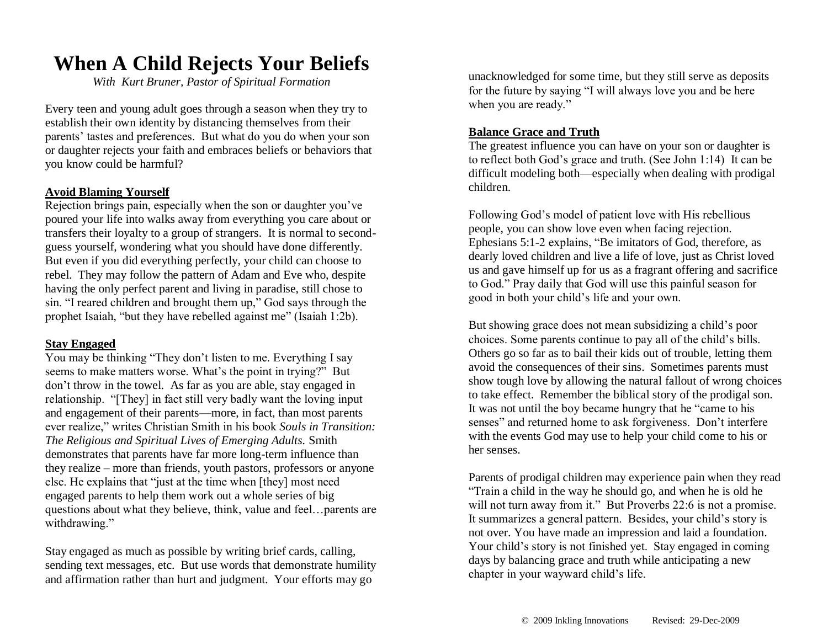## **When A Child Rejects Your Beliefs**

*With Kurt Bruner, Pastor of Spiritual Formation*

Every teen and young adult goes through a season when they try to establish their own identity by distancing themselves from their parents' tastes and preferences. But what do you do when your son or daughter rejects your faith and embraces beliefs or behaviors that you know could be harmful?

#### **Avoid Blaming Yourself**

Rejection brings pain, especially when the son or daughter you've poured your life into walks away from everything you care about or transfers their loyalty to a group of strangers. It is normal to secondguess yourself, wondering what you should have done differently. But even if you did everything perfectly, your child can choose to rebel. They may follow the pattern of Adam and Eve who, despite having the only perfect parent and living in paradise, still chose to sin. "I reared children and brought them up," God says through the prophet Isaiah, "but they have rebelled against me" (Isaiah 1:2b).

#### **Stay Engaged**

You may be thinking "They don't listen to me. Everything I say seems to make matters worse. What's the point in trying?" But don't throw in the towel. As far as you are able, stay engaged in relationship. "[They] in fact still very badly want the loving input and engagement of their parents—more, in fact, than most parents ever realize," writes Christian Smith in his book *Souls in Transition: The Religious and Spiritual Lives of Emerging Adults.* Smith demonstrates that parents have far more long-term influence than they realize – more than friends, youth pastors, professors or anyone else. He explains that "just at the time when [they] most need engaged parents to help them work out a whole series of big questions about what they believe, think, value and feel…parents are withdrawing."

Stay engaged as much as possible by writing brief cards, calling, sending text messages, etc. But use words that demonstrate humility and affirmation rather than hurt and judgment. Your efforts may go

unacknowledged for some time, but they still serve as deposits for the future by saying "I will always love you and be here when you are ready."

#### **Balance Grace and Truth**

The greatest influence you can have on your son or daughter is to reflect both God's grace and truth. (See John 1:14) It can be difficult modeling both—especially when dealing with prodigal children.

Following God's model of patient love with His rebellious people, you can show love even when facing rejection. Ephesians 5:1-2 explains, "Be imitators of God, therefore, as dearly loved children and live a life of love, just as Christ loved us and gave himself up for us as a fragrant offering and sacrifice to God." Pray daily that God will use this painful season for good in both your child's life and your own.

But showing grace does not mean subsidizing a child's poor choices. Some parents continue to pay all of the child's bills. Others go so far as to bail their kids out of trouble, letting them avoid the consequences of their sins. Sometimes parents must show tough love by allowing the natural fallout of wrong choices to take effect. Remember the biblical story of the prodigal son. It was not until the boy became hungry that he "came to his senses" and returned home to ask forgiveness. Don't interfere with the events God may use to help your child come to his or her senses.

Parents of prodigal children may experience pain when they read "Train a child in the way he should go, and when he is old he will not turn away from it." But Proverbs 22:6 is not a promise. It summarizes a general pattern. Besides, your child's story is not over. You have made an impression and laid a foundation. Your child's story is not finished yet. Stay engaged in coming days by balancing grace and truth while anticipating a new chapter in your wayward child's life.